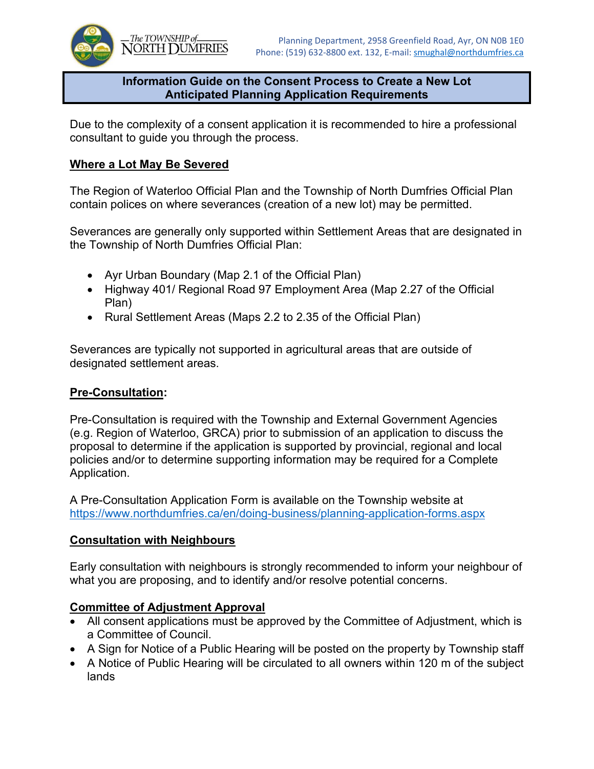

#### **Information Guide on the Consent Process to Create a New Lot Anticipated Planning Application Requirements**

Due to the complexity of a consent application it is recommended to hire a professional consultant to guide you through the process.

### **Where a Lot May Be Severed**

The Region of Waterloo Official Plan and the Township of North Dumfries Official Plan contain polices on where severances (creation of a new lot) may be permitted.

Severances are generally only supported within Settlement Areas that are designated in the Township of North Dumfries Official Plan:

- Ayr Urban Boundary (Map 2.1 of the Official Plan)
- Highway 401/ Regional Road 97 Employment Area (Map 2.27 of the Official Plan)
- Rural Settlement Areas (Maps 2.2 to 2.35 of the Official Plan)

Severances are typically not supported in agricultural areas that are outside of designated settlement areas.

### **Pre-Consultation:**

Pre-Consultation is required with the Township and External Government Agencies (e.g. Region of Waterloo, GRCA) prior to submission of an application to discuss the proposal to determine if the application is supported by provincial, regional and local policies and/or to determine supporting information may be required for a Complete Application.

A Pre-Consultation Application Form is available on the Township website at https://www.northdumfries.ca/en/doing-business/planning-application-forms.aspx

### **Consultation with Neighbours**

Early consultation with neighbours is strongly recommended to inform your neighbour of what you are proposing, and to identify and/or resolve potential concerns.

### **Committee of Adjustment Approval**

- All consent applications must be approved by the Committee of Adjustment, which is a Committee of Council.
- A Sign for Notice of a Public Hearing will be posted on the property by Township staff
- A Notice of Public Hearing will be circulated to all owners within 120 m of the subject lands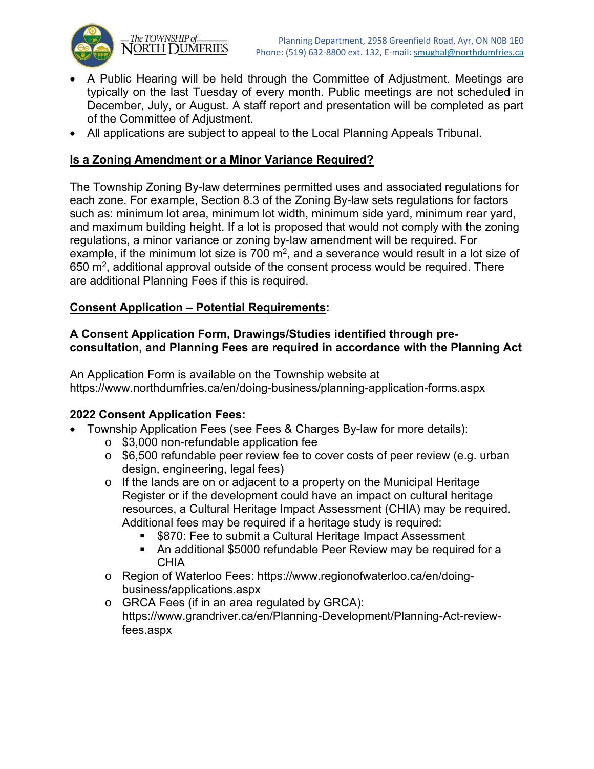

The TOWNSHIP of\_ NORTH DUMFRIES

- A Public Hearing will be held through the Committee of Adjustment. Meetings are typically on the last Tuesday of every month. Public meetings are not scheduled in December, July, or August. A staff report and presentation will be completed as part of the Committee of Adjustment.
- All applications are subject to appeal to the Local Planning Appeals Tribunal.

# **Is a Zoning Amendment or a Minor Variance Required?**

The Township Zoning By-law determines permitted uses and associated regulations for each zone. For example, Section 8.3 of the Zoning By-law sets regulations for factors such as: minimum lot area, minimum lot width, minimum side yard, minimum rear yard, and maximum building height. If a lot is proposed that would not comply with the zoning regulations, a minor variance or zoning by-law amendment will be required. For example, if the minimum lot size is 700  $m^2$ , and a severance would result in a lot size of  $650$  m<sup>2</sup>, additional approval outside of the consent process would be required. There are additional Planning Fees if this is required.

## **Consent Application – Potential Requirements:**

### **A Consent Application Form, Drawings/Studies identified through preconsultation, and Planning Fees are required in accordance with the Planning Act**

An Application Form is available on the Township website at https://www.northdumfries.ca/en/doing-business/planning-application-forms.aspx

## **2022 Consent Application Fees:**

- Township Application Fees (see Fees & Charges By-law for more details):
	- o \$3,000 non-refundable application fee
	- o \$6,500 refundable peer review fee to cover costs of peer review (e.g. urban design, engineering, legal fees)
	- o If the lands are on or adjacent to a property on the Municipal Heritage Register or if the development could have an impact on cultural heritage resources, a Cultural Heritage Impact Assessment (CHIA) may be required. Additional fees may be required if a heritage study is required:
		- \$870: Fee to submit a Cultural Heritage Impact Assessment
		- An additional \$5000 refundable Peer Review may be required for a **CHIA**
	- o Region of Waterloo Fees: https://www.regionofwaterloo.ca/en/doingbusiness/applications.aspx
	- o GRCA Fees (if in an area regulated by GRCA): https://www.grandriver.ca/en/Planning-Development/Planning-Act-reviewfees.aspx